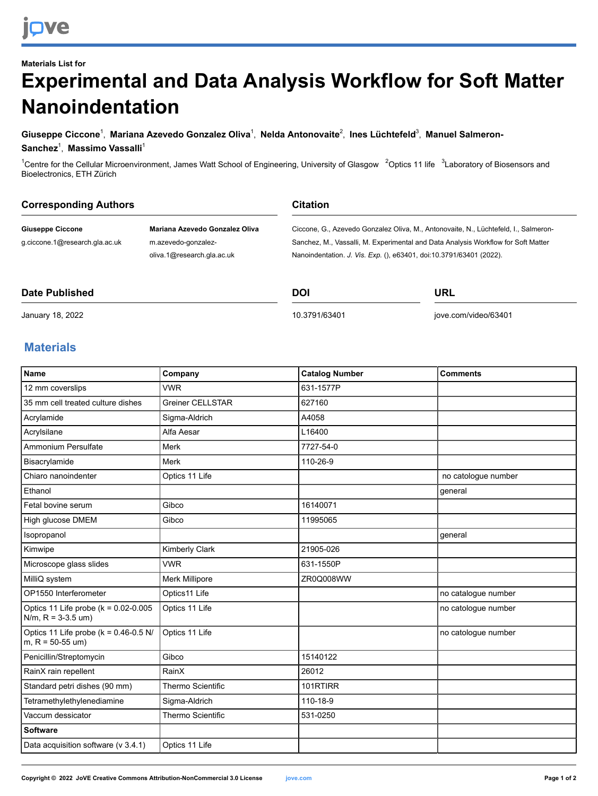# **Materials List for Experimental and Data Analysis Workflow for Soft Matter Nanoindentation**

### **Giuseppe Ciccone**<sup>1</sup> , **Mariana Azevedo Gonzalez Oliva**<sup>1</sup> , **Nelda Antonovaite**<sup>2</sup> , **Ines Lüchtefeld**<sup>3</sup> , **Manuel Salmeron-Sanchez**<sup>1</sup> , **Massimo Vassalli** 1

<sup>1</sup>Centre for the Cellular Microenvironment, James Watt School of Engineering, University of Glasgow <sup>2</sup>Optics 11 life <sup>3</sup>Laboratory of Biosensors and Bioelectronics, ETH Zürich

| <b>Corresponding Authors</b>   |                                | <b>Citation</b>                                                                     |  |
|--------------------------------|--------------------------------|-------------------------------------------------------------------------------------|--|
| <b>Giuseppe Ciccone</b>        | Mariana Azevedo Gonzalez Oliva | Ciccone, G., Azevedo Gonzalez Oliva, M., Antonovaite, N., Lüchtefeld, I., Salmeron- |  |
| g.ciccone.1@research.gla.ac.uk | m.azevedo-gonzalez-            | Sanchez, M., Vassalli, M. Experimental and Data Analysis Workflow for Soft Matter   |  |
|                                | oliva.1@research.gla.ac.uk     | Nanoindentation. J. Vis. Exp. (), e63401, doi:10.3791/63401 (2022).                 |  |
|                                |                                |                                                                                     |  |

**DOI**

#### **Date Published**

[10.3791/63401](http://dx.doi.org/10.3791/63401)

[jove.com/video/63401](https://www.jove.com/video/63401)

**URL**

## January 18, 2022

### **Materials**

| <b>Name</b>                                                        | Company                  | <b>Catalog Number</b> | <b>Comments</b>     |
|--------------------------------------------------------------------|--------------------------|-----------------------|---------------------|
| 12 mm coverslips                                                   | <b>VWR</b>               | 631-1577P             |                     |
| 35 mm cell treated culture dishes                                  | <b>Greiner CELLSTAR</b>  | 627160                |                     |
| Acrylamide                                                         | Sigma-Aldrich            | A4058                 |                     |
| Acrylsilane                                                        | Alfa Aesar               | L16400                |                     |
| Ammonium Persulfate                                                | Merk                     | 7727-54-0             |                     |
| Bisacrylamide                                                      | Merk                     | 110-26-9              |                     |
| Chiaro nanoindenter                                                | Optics 11 Life           |                       | no catologue number |
| Ethanol                                                            |                          |                       | general             |
| Fetal bovine serum                                                 | Gibco                    | 16140071              |                     |
| High glucose DMEM                                                  | Gibco                    | 11995065              |                     |
| Isopropanol                                                        |                          |                       | general             |
| Kimwipe                                                            | Kimberly Clark           | 21905-026             |                     |
| Microscope glass slides                                            | <b>VWR</b>               | 631-1550P             |                     |
| MilliQ system                                                      | Merk Millipore           | ZR0Q008WW             |                     |
| OP1550 Interferometer                                              | Optics11 Life            |                       | no catalogue number |
| Optics 11 Life probe ( $k = 0.02 - 0.005$<br>$N/m$ , R = 3-3.5 um) | Optics 11 Life           |                       | no catologue number |
| Optics 11 Life probe ( $k = 0.46 - 0.5$ N/<br>$m, R = 50-55$ um)   | Optics 11 Life           |                       | no catologue number |
| Penicillin/Streptomycin                                            | Gibco                    | 15140122              |                     |
| RainX rain repellent                                               | RainX                    | 26012                 |                     |
| Standard petri dishes (90 mm)                                      | <b>Thermo Scientific</b> | 101RTIRR              |                     |
| Tetramethylethylenediamine                                         | Sigma-Aldrich            | 110-18-9              |                     |
| Vaccum dessicator                                                  | <b>Thermo Scientific</b> | 531-0250              |                     |
| <b>Software</b>                                                    |                          |                       |                     |
| Data acquisition software (v 3.4.1)                                | Optics 11 Life           |                       |                     |